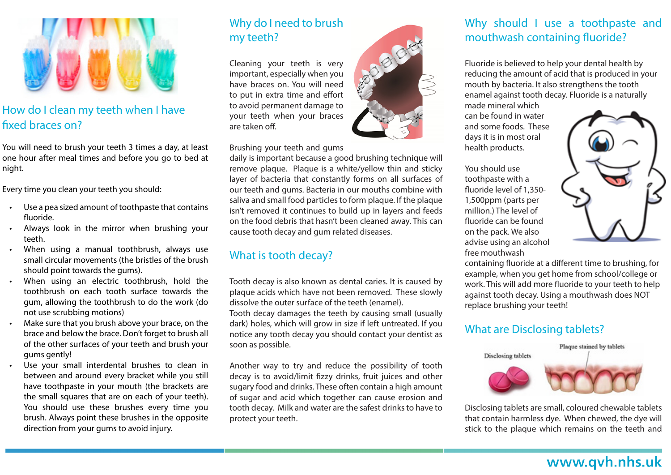

### How do I clean my teeth when I have fixed braces on?

You will need to brush your teeth 3 times a day, at least one hour after meal times and before you go to bed at night.

Every time you clean your teeth you should:

- Use a pea sized amount of toothpaste that contains fluoride.
- Always look in the mirror when brushing your teeth.
- When using a manual toothbrush, always use small circular movements (the bristles of the brush should point towards the gums).
- When using an electric toothbrush, hold the toothbrush on each tooth surface towards the gum, allowing the toothbrush to do the work (do not use scrubbing motions)
- Make sure that you brush above your brace, on the brace and below the brace. Don't forget to brush all of the other surfaces of your teeth and brush your gums gently!
- Use your small interdental brushes to clean in between and around every bracket while you still have toothpaste in your mouth (the brackets are the small squares that are on each of your teeth). You should use these brushes every time you brush. Always point these brushes in the opposite direction from your gums to avoid injury.

#### Why do I need to brush my teeth?

Cleaning your teeth is very important, especially when you have braces on. You will need to put in extra time and effort to avoid permanent damage to your teeth when your braces are taken off.

Brushing your teeth and gums

daily is important because a good brushing technique will remove plaque. Plaque is a white/yellow thin and sticky layer of bacteria that constantly forms on all surfaces of our teeth and gums. Bacteria in our mouths combine with saliva and small food particles to form plaque. If the plaque isn't removed it continues to build up in layers and feeds on the food debris that hasn't been cleaned away. This can cause tooth decay and gum related diseases.

# What is tooth decay?

Tooth decay is also known as dental caries. It is caused by plaque acids which have not been removed. These slowly dissolve the outer surface of the teeth (enamel).

Tooth decay damages the teeth by causing small (usually dark) holes, which will grow in size if left untreated. If you notice any tooth decay you should contact your dentist as soon as possible.

Another way to try and reduce the possibility of tooth decay is to avoid/limit fizzy drinks, fruit juices and other sugary food and drinks. These often contain a high amount of sugar and acid which together can cause erosion and tooth decay. Milk and water are the safest drinks to have to protect your teeth.



#### Why should I use a toothpaste and mouthwash containing fluoride?

Fluoride is believed to help your dental health by reducing the amount of acid that is produced in your mouth by bacteria. It also strengthens the tooth enamel against tooth decay. Fluoride is a naturally made mineral which

can be found in water and some foods. These days it is in most oral health products.

You should use toothpaste with a fluoride level of 1,350- 1,500ppm (parts per million.) The level of fluoride can be found on the pack. We also advise using an alcohol free mouthwash



containing fluoride at a different time to brushing, for example, when you get home from school/college or work. This will add more fluoride to your teeth to help against tooth decay. Using a mouthwash does NOT replace brushing your teeth!

## What are Disclosing tablets?



Disclosing tablets are small, coloured chewable tablets that contain harmless dye. When chewed, the dye will stick to the plaque which remains on the teeth and

# www.qvh.nhs.uk